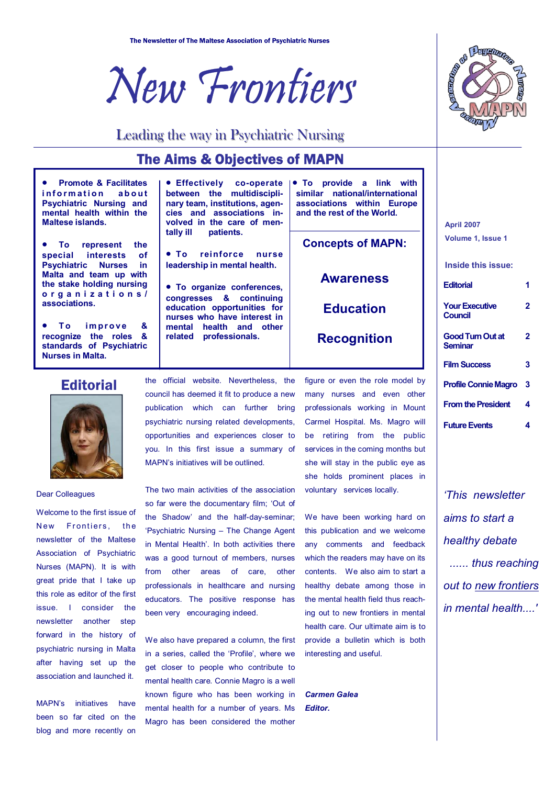



## Leading the way in Psychiatric Nursing

# The Aims & Objectives of MAPN

• **Promote & Facilitates information** about **Psychiatric Nursing and mental health within the Maltese islands.** 

• **To represent the special interests of Psychiatric Nurses in Malta and team up with the stake holding nursing organizations/ associations.** 

To improve & **recognize the roles & standards of Psychiatric Nurses in Malta.** 

• **Effectively co-operate between the multidisciplinary team, institutions, agencies and associations involved in the care of mentally ill patients.** 

• **To reinforce nurse leadership in mental health.** 

• **To organize conferences, congresses & continuing education opportunities for nurses who have interest in mental health and other related professionals.** 

• **To provide a link with similar national/international associations within Europe and the rest of the World.** 

**Concepts of MAPN:** 

**Awareness** 

**Education** 

**Recognition** 

### **Editorial**



Dear Colleagues

Welcome to the first issue of New Frontiers, the newsletter of the Maltese Association of Psychiatric Nurses (MAPN). It is with great pride that I take up this role as editor of the first issue. I consider the newsletter another step forward in the history of psychiatric nursing in Malta after having set up the association and launched it.

MAPNís initiatives have been so far cited on the blog and more recently on

the official website. Nevertheless, the council has deemed it fit to produce a new publication which can further bring psychiatric nursing related developments, opportunities and experiences closer to you. In this first issue a summary of MAPN's initiatives will be outlined.

The two main activities of the association so far were the documentary film; 'Out of the Shadowí and the half-day-seminar; 'Psychiatric Nursing - The Change Agent in Mental Health'. In both activities there was a good turnout of members, nurses from other areas of care, other professionals in healthcare and nursing educators. The positive response has been very encouraging indeed.

We also have prepared a column, the first in a series, called the 'Profile', where we get closer to people who contribute to mental health care. Connie Magro is a well known figure who has been working in mental health for a number of years. Ms Magro has been considered the mother

figure or even the role model by many nurses and even other professionals working in Mount Carmel Hospital. Ms. Magro will be retiring from the public services in the coming months but she will stay in the public eye as she holds prominent places in voluntary services locally.

We have been working hard on this publication and we welcome any comments and feedback which the readers may have on its contents. We also aim to start a healthy debate among those in the mental health field thus reaching out to new frontiers in mental health care. Our ultimate aim is to provide a bulletin which is both interesting and useful.

*Carmen Galea Editor.* 

**April 2007 Volume 1, Issue 1** 

**Inside this issue:** 

| <b>Editorial</b>                        |   |
|-----------------------------------------|---|
| <b>Your Executive</b><br><b>Council</b> | 2 |
| <b>Good Turn Out at</b><br>Seminar      | 2 |
| <b>Film Success</b>                     | 3 |
| <b>Profile Connie Magro</b>             | 3 |
| <b>From the President</b>               | 4 |
| <b>Future Events</b>                    | 4 |

*ëThis newsletter aims to start a healthy debate ...... thus reaching out to new frontiers in mental health....'*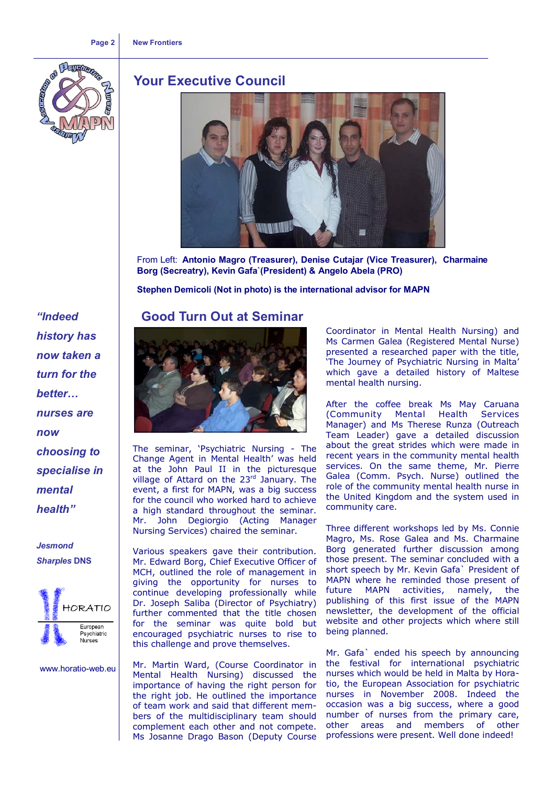#### **Page 2 New Frontiers**



## **Your Executive Council**



From Left: **Antonio Magro (Treasurer), Denise Cutajar (Vice Treasurer), Charmaine Borg (Secreatry), Kevin Gafa`(President) & Angelo Abela (PRO)** 

**Stephen Demicoli (Not in photo) is the international advisor for MAPN** 

## **Good Turn Out at Seminar**



The seminar, 'Psychiatric Nursing - The Change Agent in Mental Health' was held at the John Paul II in the picturesque village of Attard on the 23<sup>rd</sup> January. The event, a first for MAPN, was a big success for the council who worked hard to achieve a high standard throughout the seminar. Mr. John Degiorgio (Acting Manager Nursing Services) chaired the seminar.

Various speakers gave their contribution. Mr. Edward Borg, Chief Executive Officer of MCH, outlined the role of management in giving the opportunity for nurses to continue developing professionally while Dr. Joseph Saliba (Director of Psychiatry) further commented that the title chosen for the seminar was quite bold but encouraged psychiatric nurses to rise to this challenge and prove themselves.

Mr. Martin Ward, (Course Coordinator in Mental Health Nursing) discussed the importance of having the right person for the right job. He outlined the importance of team work and said that different members of the multidisciplinary team should complement each other and not compete. Ms Josanne Drago Bason (Deputy Course

Coordinator in Mental Health Nursing) and Ms Carmen Galea (Registered Mental Nurse) presented a researched paper with the title, The Journey of Psychiatric Nursing in Malta' which gave a detailed history of Maltese mental health nursing.

After the coffee break Ms May Caruana (Community Mental Health Services Manager) and Ms Therese Runza (Outreach Team Leader) gave a detailed discussion about the great strides which were made in recent years in the community mental health services. On the same theme, Mr. Pierre Galea (Comm. Psych. Nurse) outlined the role of the community mental health nurse in the United Kingdom and the system used in community care.

Three different workshops led by Ms. Connie Magro, Ms. Rose Galea and Ms. Charmaine Borg generated further discussion among those present. The seminar concluded with a short speech by Mr. Kevin Gafa` President of MAPN where he reminded those present of future MAPN activities, namely, the publishing of this first issue of the MAPN newsletter, the development of the official website and other projects which where still being planned.

Mr. Gafa` ended his speech by announcing the festival for international psychiatric nurses which would be held in Malta by Horatio, the European Association for psychiatric nurses in November 2008. Indeed the occasion was a big success, where a good number of nurses from the primary care, other areas and members of other professions were present. Well done indeed!

*ìIndeed history has now taken a turn for the better... nurses are now choosing to specialise in mental*  health<sup>"</sup>

*Jesmond Sharples* **DNS** 



www.horatio-web.eu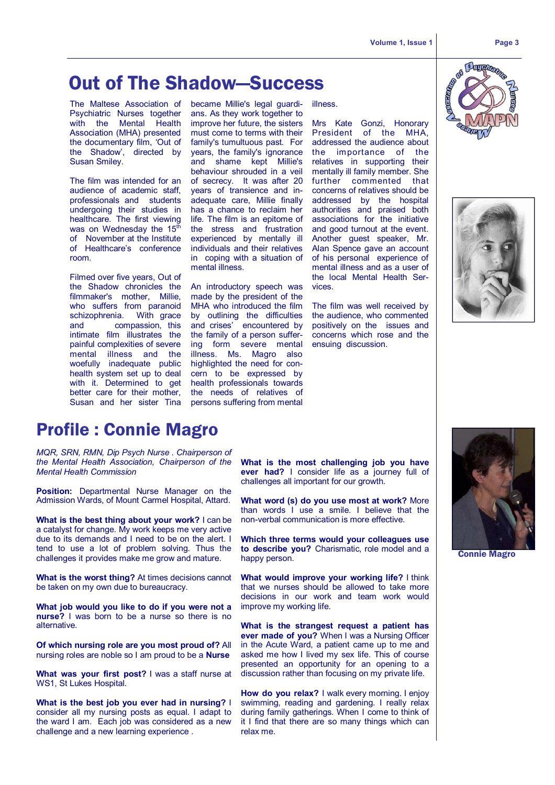# **Out of The Shadow–Success**

The Maltese Association of became Millie's legal guardi-Psychiatric Nurses together with the Mental Health Association (MHA) presented the documentary film, 'Out of the Shadowí, directed by Susan Smiley.

The film was intended for an audience of academic staff, professionals and students undergoing their studies in healthcare. The first viewing was on Wednesday the  $15<sup>th</sup>$ of November at the Institute of Healthcare's conference room.

Filmed over five years, Out of the Shadow chronicles the filmmaker's mother, Millie, who suffers from paranoid schizophrenia. With grace and compassion, this intimate film illustrates the painful complexities of severe mental illness and the woefully inadequate public health system set up to deal with it. Determined to get better care for their mother, Susan and her sister Tina

ans. As they work together to improve her future, the sisters must come to terms with their family's tumultuous past. For years, the family's ignorance and shame kept Millie's behaviour shrouded in a veil of secrecy. It was after 20 years of transience and inadequate care, Millie finally has a chance to reclaim her life. The film is an epitome of the stress and frustration experienced by mentally ill individuals and their relatives in coping with a situation of mental illness.

An introductory speech was made by the president of the MHA who introduced the film by outlining the difficulties and crises' encountered by the family of a person suffering form severe mental illness. Ms. Magro also highlighted the need for concern to be expressed by health professionals towards the needs of relatives of persons suffering from mental

illness.

Mrs Kate Gonzi, Honorary President of the MHA, addressed the audience about the importance of the relatives in supporting their mentally ill family member. She further commented that concerns of relatives should be addressed by the hospital authorities and praised both associations for the initiative and good turnout at the event. Another guest speaker, Mr. Alan Spence gave an account of his personal experience of mental illness and as a user of the local Mental Health Services.

The film was well received by the audience, who commented positively on the issues and concerns which rose and the ensuing discussion.





# Profile : Connie Magro

*MQR, SRN, RMN, Dip Psych Nurse . Chairperson of the Mental Health Association, Chairperson of the Mental Health Commission* 

**Position:** Departmental Nurse Manager on the Admission Wards, of Mount Carmel Hospital, Attard.

**What is the best thing about your work?** I can be a catalyst for change. My work keeps me very active due to its demands and I need to be on the alert. I tend to use a lot of problem solving. Thus the challenges it provides make me grow and mature.

**What is the worst thing?** At times decisions cannot be taken on my own due to bureaucracy.

**What job would you like to do if you were not a nurse?** I was born to be a nurse so there is no alternative.

**Of which nursing role are you most proud of?** All nursing roles are noble so I am proud to be a **Nurse** 

**What was your first post?** I was a staff nurse at WS1, St Lukes Hospital.

**What is the best job you ever had in nursing?** I consider all my nursing posts as equal. I adapt to the ward I am. Each job was considered as a new challenge and a new learning experience .

**What is the most challenging job you have ever had?** I consider life as a journey full of challenges all important for our growth.

**What word (s) do you use most at work?** More than words I use a smile. I believe that the non-verbal communication is more effective.

**Which three terms would your colleagues use to describe you?** Charismatic, role model and a happy person.

**What would improve your working life?** I think that we nurses should be allowed to take more decisions in our work and team work would improve my working life.

**What is the strangest request a patient has ever made of you?** When I was a Nursing Officer in the Acute Ward, a patient came up to me and asked me how I lived my sex life. This of course presented an opportunity for an opening to a discussion rather than focusing on my private life.

**How do you relax?** I walk every morning. I enjoy swimming, reading and gardening. I really relax during family gatherings. When I come to think of it I find that there are so many things which can relax me.



Connie Magro